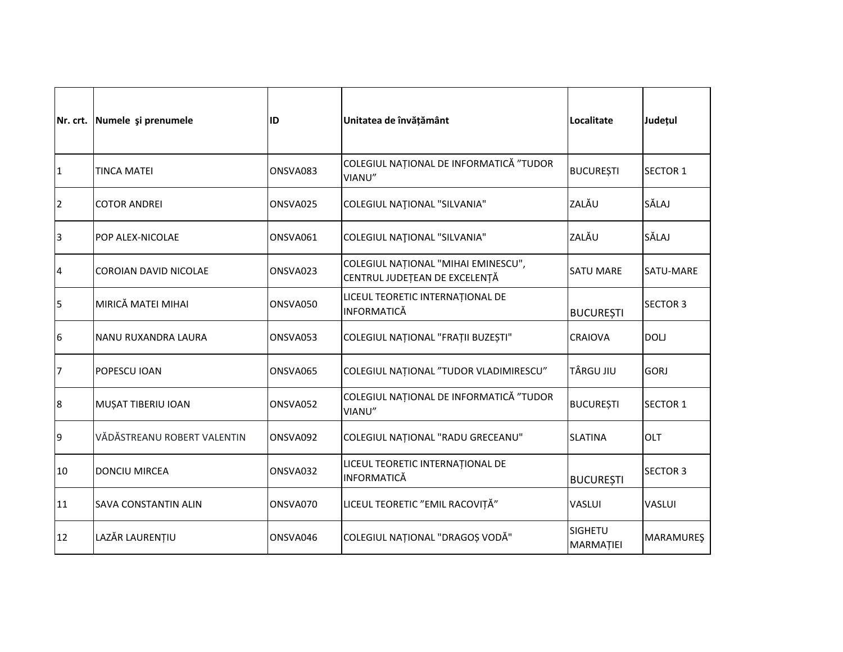|                | Nr. crt. Numele și prenumele | ID       | Unitatea de învățământ                                               | Localitate                  | Județul          |
|----------------|------------------------------|----------|----------------------------------------------------------------------|-----------------------------|------------------|
| 1              | <b>TINCA MATEI</b>           | ONSVA083 | COLEGIUL NAȚIONAL DE INFORMATICĂ "TUDOR<br>VIANU"                    | <b>BUCUREȘTI</b>            | <b>SECTOR 1</b>  |
| $\overline{2}$ | <b>COTOR ANDREI</b>          | ONSVA025 | <b>COLEGIUL NATIONAL "SILVANIA"</b>                                  | ZALĂU                       | SĂLAJ            |
| 3              | POP ALEX-NICOLAE             | ONSVA061 | <b>COLEGIUL NATIONAL "SILVANIA"</b>                                  | ZALĂU                       | SĂLAJ            |
| 4              | COROIAN DAVID NICOLAE        | ONSVA023 | COLEGIUL NAȚIONAL "MIHAI EMINESCU",<br>CENTRUL JUDEȚEAN DE EXCELENȚĂ | <b>SATU MARE</b>            | SATU-MARE        |
| 5              | MIRICĂ MATEI MIHAI           | ONSVA050 | LICEUL TEORETIC INTERNAȚIONAL DE<br><b>INFORMATICĂ</b>               | <b>BUCUREȘTI</b>            | <b>SECTOR 3</b>  |
| 6              | NANU RUXANDRA LAURA          | ONSVA053 | COLEGIUL NAȚIONAL "FRAȚII BUZEȘTI"                                   | <b>CRAIOVA</b>              | <b>DOLJ</b>      |
| 7              | POPESCU IOAN                 | ONSVA065 | COLEGIUL NAȚIONAL "TUDOR VLADIMIRESCU"                               | TÂRGU JIU                   | <b>GORJ</b>      |
| 8              | MUȘAT TIBERIU IOAN           | ONSVA052 | COLEGIUL NAȚIONAL DE INFORMATICĂ "TUDOR<br>VIANU"                    | <b>BUCURESTI</b>            | <b>SECTOR 1</b>  |
| 9              | VĂDĂSTREANU ROBERT VALENTIN  | ONSVA092 | COLEGIUL NAȚIONAL "RADU GRECEANU"                                    | <b>SLATINA</b>              | <b>OLT</b>       |
| 10             | <b>DONCIU MIRCEA</b>         | ONSVA032 | LICEUL TEORETIC INTERNAȚIONAL DE<br><b>INFORMATICĂ</b>               | <b>BUCUREȘTI</b>            | <b>SECTOR 3</b>  |
| 11             | <b>SAVA CONSTANTIN ALIN</b>  | ONSVA070 | LICEUL TEORETIC "EMIL RACOVIȚĂ"                                      | <b>VASLUI</b>               | VASLUI           |
| 12             | LAZĂR LAURENȚIU              | ONSVA046 | COLEGIUL NAȚIONAL "DRAGOȘ VODĂ"                                      | <b>SIGHETU</b><br>MARMAȚIEI | <b>MARAMUREŞ</b> |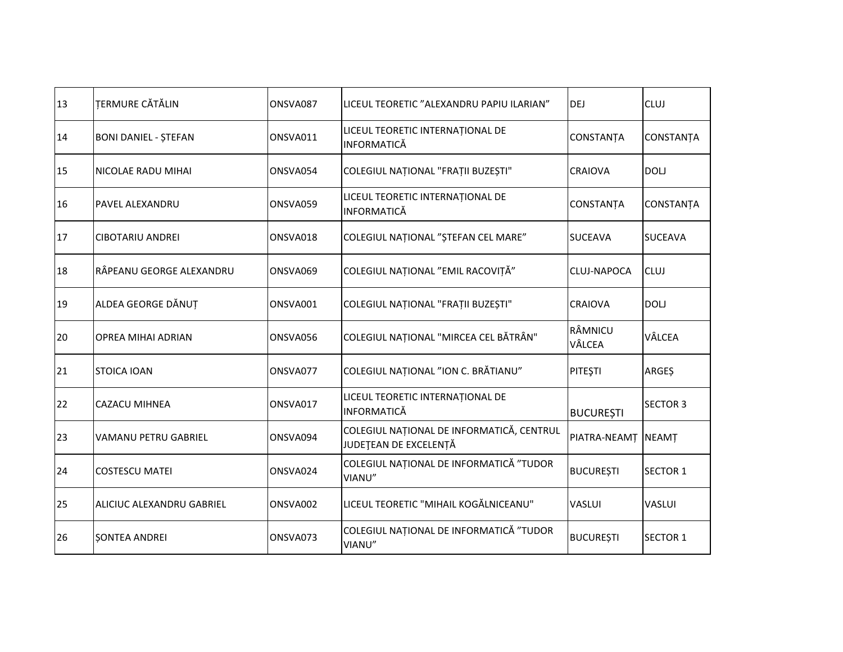| 13 | TERMURE CĂTĂLIN             | ONSVA087 | LICEUL TEORETIC "ALEXANDRU PAPIU ILARIAN"                          | DEJ               | <b>CLUJ</b>      |
|----|-----------------------------|----------|--------------------------------------------------------------------|-------------------|------------------|
| 14 | <b>BONI DANIEL - STEFAN</b> | ONSVA011 | LICEUL TEORETIC INTERNAȚIONAL DE<br><b>INFORMATICĂ</b>             | CONSTANȚA         | CONSTANȚA        |
| 15 | NICOLAE RADU MIHAI          | ONSVA054 | COLEGIUL NAȚIONAL "FRAȚII BUZEȘTI"                                 | <b>CRAIOVA</b>    | <b>DOLJ</b>      |
| 16 | <b>PAVEL ALEXANDRU</b>      | ONSVA059 | LICEUL TEORETIC INTERNAȚIONAL DE<br><b>INFORMATICĂ</b>             | CONSTANȚA         | <b>CONSTANȚA</b> |
| 17 | <b>CIBOTARIU ANDREI</b>     | ONSVA018 | COLEGIUL NAȚIONAL "ȘTEFAN CEL MARE"                                | <b>SUCEAVA</b>    | <b>SUCEAVA</b>   |
| 18 | RÂPEANU GEORGE ALEXANDRU    | ONSVA069 | COLEGIUL NAȚIONAL "EMIL RACOVIȚĂ"                                  | CLUJ-NAPOCA       | <b>CLUJ</b>      |
| 19 | ALDEA GEORGE DĂNUȚ          | ONSVA001 | COLEGIUL NAȚIONAL "FRAȚII BUZEȘTI"                                 | <b>CRAIOVA</b>    | <b>DOLJ</b>      |
| 20 | <b>OPREA MIHAI ADRIAN</b>   | ONSVA056 | COLEGIUL NAȚIONAL "MIRCEA CEL BĂTRÂN"                              | RÂMNICU<br>VÂLCEA | VÂLCEA           |
| 21 | <b>STOICA IOAN</b>          | ONSVA077 | COLEGIUL NAȚIONAL "ION C. BRĂTIANU"                                | <b>PITESTI</b>    | <b>ARGES</b>     |
| 22 | <b>CAZACU MIHNEA</b>        | ONSVA017 | LICEUL TEORETIC INTERNAȚIONAL DE<br><b>INFORMATICĂ</b>             | <b>BUCUREȘTI</b>  | <b>SECTOR 3</b>  |
| 23 | <b>VAMANU PETRU GABRIEL</b> | ONSVA094 | COLEGIUL NAȚIONAL DE INFORMATICĂ, CENTRUL<br>JUDEȚEAN DE EXCELENȚĂ | PIATRA-NEAMȚ      | <b>NEAMT</b>     |
| 24 | <b>COSTESCU MATEI</b>       | ONSVA024 | COLEGIUL NAȚIONAL DE INFORMATICĂ "TUDOR<br>VIANU"                  | <b>BUCUREȘTI</b>  | <b>SECTOR 1</b>  |
| 25 | ALICIUC ALEXANDRU GABRIEL   | ONSVA002 | LICEUL TEORETIC "MIHAIL KOGĂLNICEANU"                              | <b>VASLUI</b>     | <b>VASLUI</b>    |
| 26 | <b>ŞONTEA ANDREI</b>        | ONSVA073 | COLEGIUL NAȚIONAL DE INFORMATICĂ "TUDOR<br>VIANU"                  | <b>BUCUREȘTI</b>  | <b>SECTOR 1</b>  |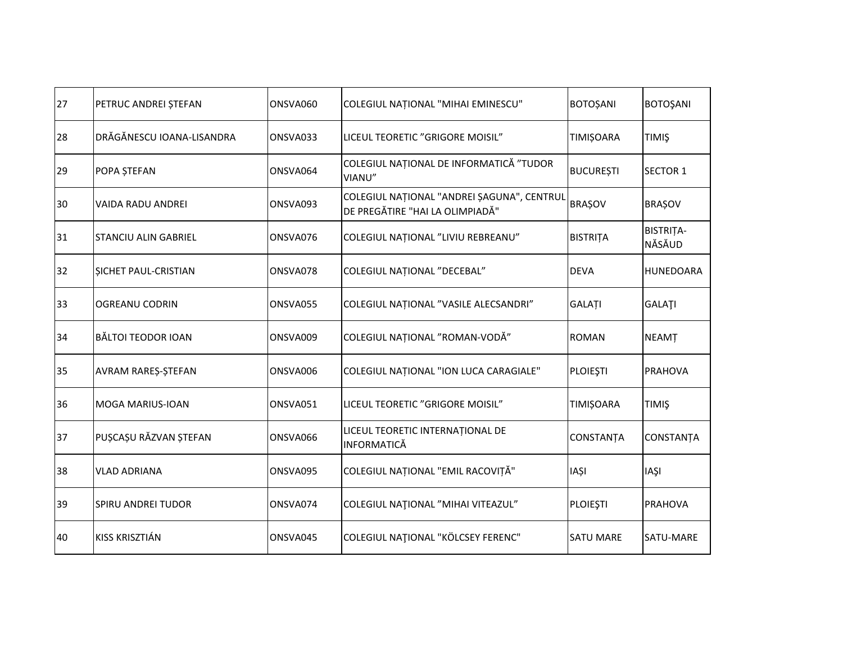| 27 | PETRUC ANDREI ȘTEFAN      | ONSVA060 | COLEGIUL NAȚIONAL "MIHAI EMINESCU"                                            | <b>BOTOȘANI</b>  | <b>BOTOŞANI</b>     |
|----|---------------------------|----------|-------------------------------------------------------------------------------|------------------|---------------------|
| 28 | DRĂGĂNESCU IOANA-LISANDRA | ONSVA033 | LICEUL TEORETIC "GRIGORE MOISIL"                                              | <b>TIMIȘOARA</b> | <b>TIMIS</b>        |
| 29 | POPA STEFAN               | ONSVA064 | COLEGIUL NAȚIONAL DE INFORMATICĂ "TUDOR<br>VIANU"                             | <b>BUCUREȘTI</b> | <b>SECTOR 1</b>     |
| 30 | VAIDA RADU ANDREI         | ONSVA093 | COLEGIUL NAȚIONAL "ANDREI ȘAGUNA", CENTRUL<br>DE PREGĂTIRE "HAI LA OLIMPIADĂ" | <b>BRAȘOV</b>    | <b>BRAȘOV</b>       |
| 31 | ISTANCIU ALIN GABRIEL     | ONSVA076 | COLEGIUL NAȚIONAL "LIVIU REBREANU"                                            | <b>BISTRITA</b>  | BISTRITA-<br>NĂSĂUD |
| 32 | SICHET PAUL-CRISTIAN      | ONSVA078 | COLEGIUL NATIONAL "DECEBAL"                                                   | <b>DEVA</b>      | <b>HUNEDOARA</b>    |
| 33 | OGREANU CODRIN            | ONSVA055 | COLEGIUL NAȚIONAL "VASILE ALECSANDRI"                                         | <b>GALATI</b>    | <b>GALATI</b>       |
| 34 | <b>BĂLTOI TEODOR IOAN</b> | ONSVA009 | COLEGIUL NAȚIONAL "ROMAN-VODĂ"                                                | <b>ROMAN</b>     | <b>NEAMT</b>        |
| 35 | AVRAM RARES-STEFAN        | ONSVA006 | COLEGIUL NAȚIONAL "ION LUCA CARAGIALE"                                        | <b>PLOIEȘTI</b>  | <b>PRAHOVA</b>      |
| 36 | <b>MOGA MARIUS-IOAN</b>   | ONSVA051 | LICEUL TEORETIC "GRIGORE MOISIL"                                              | <b>TIMIȘOARA</b> | <b>TIMIS</b>        |
| 37 | PUȘCAȘU RĂZVAN ȘTEFAN     | ONSVA066 | LICEUL TEORETIC INTERNAȚIONAL DE<br><b>INFORMATICĂ</b>                        | CONSTANȚA        | <b>CONSTANTA</b>    |
| 38 | <b>VLAD ADRIANA</b>       | ONSVA095 | COLEGIUL NAȚIONAL "EMIL RACOVIȚĂ"                                             | <b>IAȘI</b>      | <b>IAŞI</b>         |
| 39 | <b>SPIRU ANDREI TUDOR</b> | ONSVA074 | COLEGIUL NATIONAL "MIHAI VITEAZUL"                                            | <b>PLOIESTI</b>  | <b>PRAHOVA</b>      |
| 40 | KISS KRISZTIÁN            | ONSVA045 | COLEGIUL NATIONAL "KÖLCSEY FERENC"                                            | <b>SATU MARE</b> | SATU-MARE           |